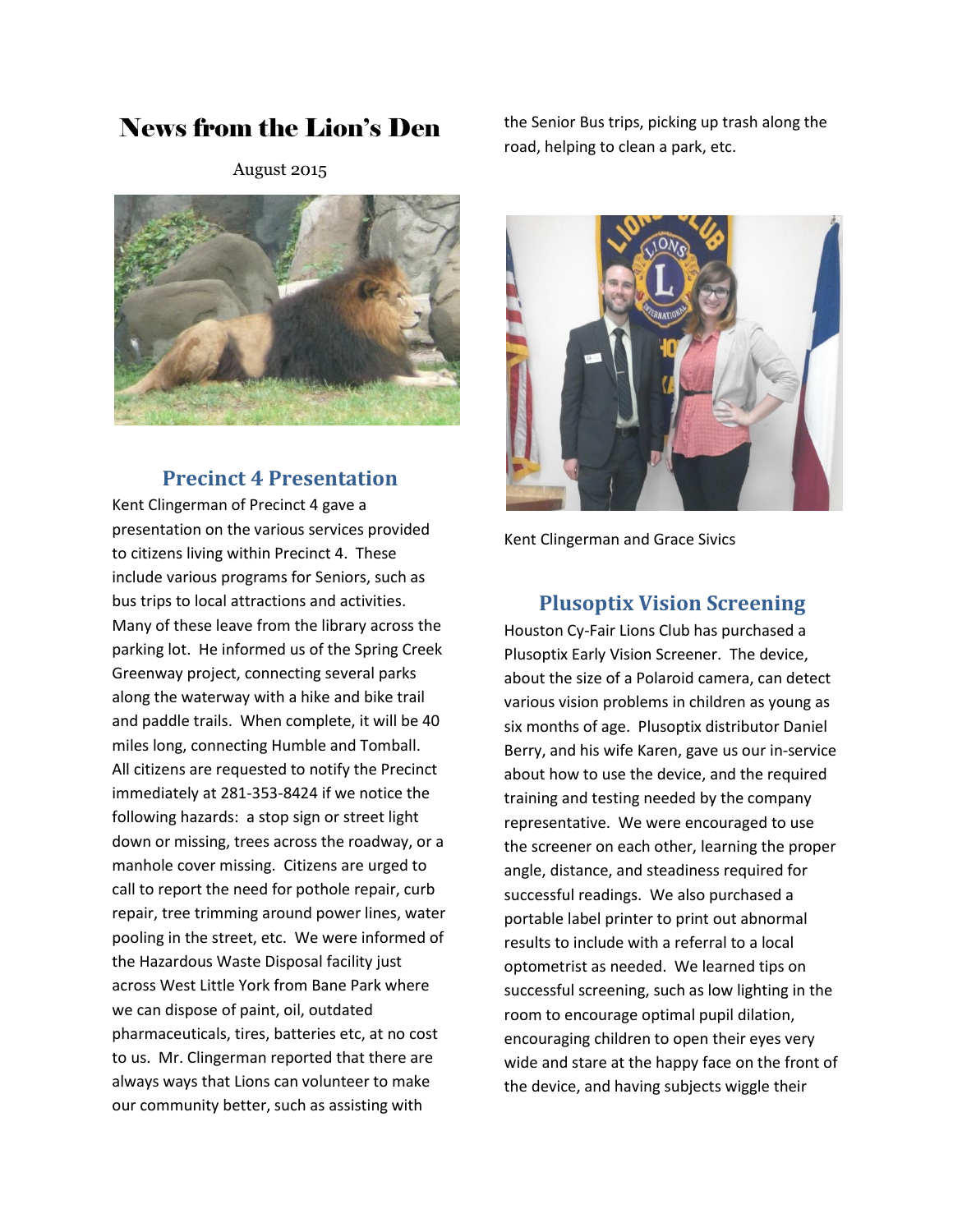# News from the Lion's Den

August 2015



#### **Precinct 4 Presentation**

Kent Clingerman of Precinct 4 gave a presentation on the various services provided to citizens living within Precinct 4. These include various programs for Seniors, such as bus trips to local attractions and activities. Many of these leave from the library across the parking lot. He informed us of the Spring Creek Greenway project, connecting several parks along the waterway with a hike and bike trail and paddle trails. When complete, it will be 40 miles long, connecting Humble and Tomball. All citizens are requested to notify the Precinct immediately at 281-353-8424 if we notice the following hazards: a stop sign or street light down or missing, trees across the roadway, or a manhole cover missing. Citizens are urged to call to report the need for pothole repair, curb repair, tree trimming around power lines, water pooling in the street, etc. We were informed of the Hazardous Waste Disposal facility just across West Little York from Bane Park where we can dispose of paint, oil, outdated pharmaceuticals, tires, batteries etc, at no cost to us. Mr. Clingerman reported that there are always ways that Lions can volunteer to make our community better, such as assisting with

the Senior Bus trips, picking up trash along the road, helping to clean a park, etc.



Kent Clingerman and Grace Sivics

#### **Plusoptix Vision Screening**

Houston Cy-Fair Lions Club has purchased a Plusoptix Early Vision Screener. The device, about the size of a Polaroid camera, can detect various vision problems in children as young as six months of age. Plusoptix distributor Daniel Berry, and his wife Karen, gave us our in-service about how to use the device, and the required training and testing needed by the company representative. We were encouraged to use the screener on each other, learning the proper angle, distance, and steadiness required for successful readings. We also purchased a portable label printer to print out abnormal results to include with a referral to a local optometrist as needed. We learned tips on successful screening, such as low lighting in the room to encourage optimal pupil dilation, encouraging children to open their eyes very wide and stare at the happy face on the front of the device, and having subjects wiggle their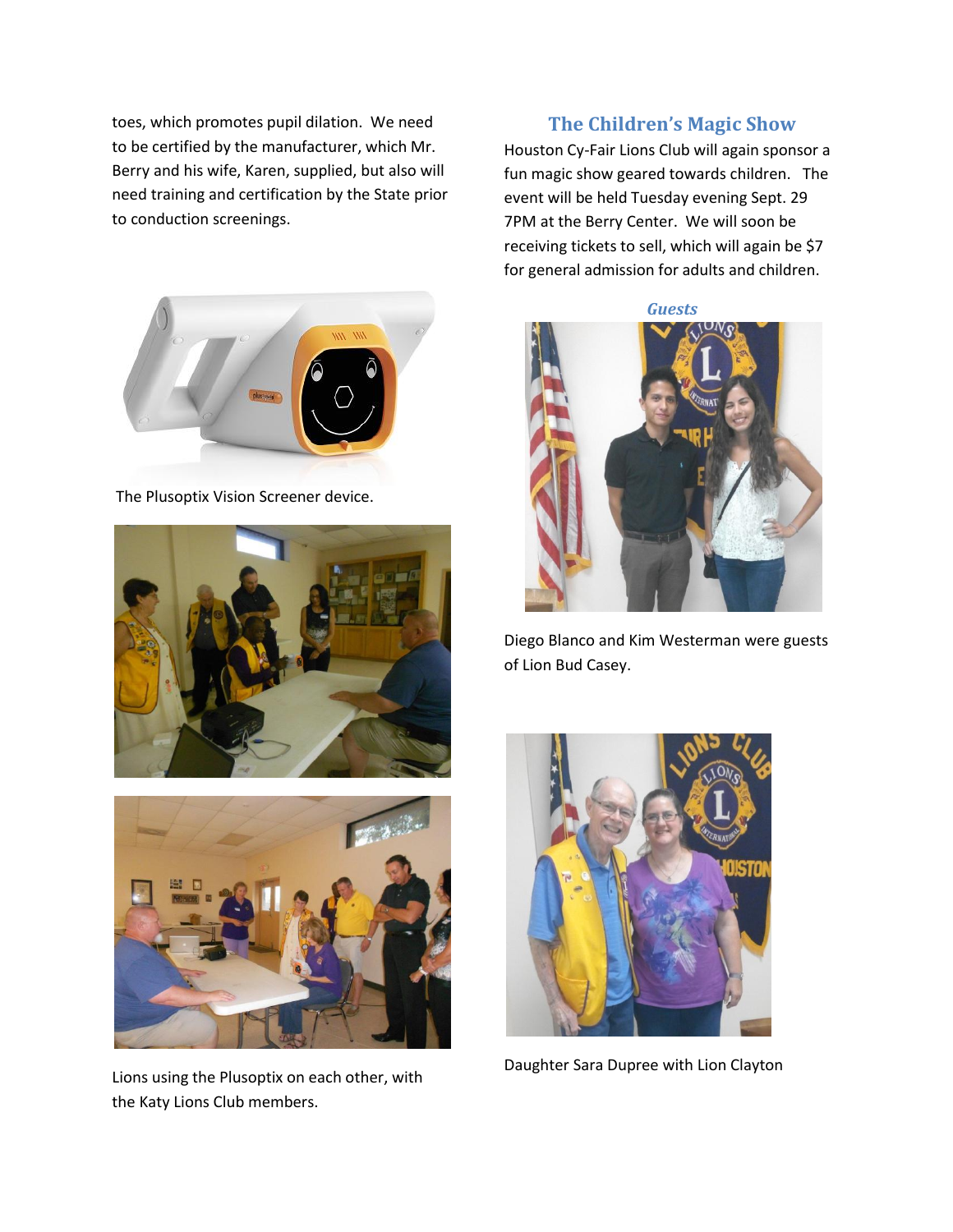toes, which promotes pupil dilation. We need to be certified by the manufacturer, which Mr. Berry and his wife, Karen, supplied, but also will need training and certification by the State prior to conduction screenings.



The Plusoptix Vision Screener device.





Lions using the Plusoptix on each other, with the Katy Lions Club members.

### **The Children's Magic Show**

Houston Cy-Fair Lions Club will again sponsor a fun magic show geared towards children. The event will be held Tuesday evening Sept. 29 7PM at the Berry Center. We will soon be receiving tickets to sell, which will again be \$7 for general admission for adults and children.



Diego Blanco and Kim Westerman were guests of Lion Bud Casey.



Daughter Sara Dupree with Lion Clayton